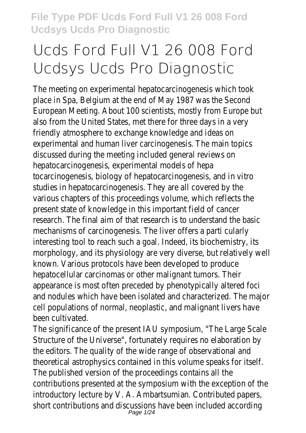# **Ucds Ford Full V1 26 008 Ford Ucdsys Ucds Pro Diagnostic**

The meeting on experimental hepatocarcinogenesis which took place in Spa, Belgium at the end of May 1987 was the Second European Meeting. About 100 scientists, mostly from Europe but also from the United States, met there for three days in a very friendly atmosphere to exchange knowledge and ideas on experimental and human liver carcinogenesis. The main topics discussed during the meeting included general reviews on hepatocarcinogenesis, experimental models of hepa tocarcinogenesis, biology of hepatocarcinogenesis, and in vitro studies in hepatocarcinogenesis. They are all covered by the various chapters of this proceedings volume, which reflects the present state of knowledge in this important field of cancer research. The final aim of that research is to understand the basic mechanisms of carcinogenesis. The liver offers a parti cularly interesting tool to reach such a goal. Indeed, its biochemistry, its morphology, and its physiology are very diverse, but relatively well known. Various protocols have been developed to produce hepatocellular carcinomas or other malignant tumors. Their appearance is most often preceded by phenotypically altered foci and nodules which have been isolated and characterized. The major cell populations of normal, neoplastic, and malignant livers have been cultivated.

The significance of the present IAU symposium, "The Large Scale Structure of the Universe", fortunately requires no elaboration by the editors. The quality of the wide range of observational and theoretical astrophysics contained in this volume speaks for itself. The published version of the proceedings contains all the contributions presented at the symposium with the exception of the introductory lecture by V. A. Ambartsumian. Contributed papers, short contributions and discussions have been included according<br>Page 1/24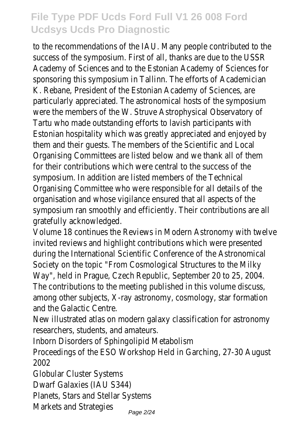to the recommendations of the IAU. Many people contributed to the success of the symposium. First of all, thanks are due to the USSR Academy of Sciences and to the Estonian Academy of Sciences for sponsoring this symposium in Tallinn. The efforts of Academician K. Rebane, President of the Estonian Academy of Sciences, are particularly appreciated. The astronomical hosts of the symposium were the members of the W. Struve Astrophysical Observatory of Tartu who made outstanding efforts to lavish participants with Estonian hospitality which was greatly appreciated and enjoyed by them and their guests. The members of the Scientific and Local Organising Committees are listed below and we thank all of them for their contributions which were central to the success of the symposium. In addition are listed members of the Technical Organising Committee who were responsible for all details of the organisation and whose vigilance ensured that all aspects of the symposium ran smoothly and efficiently. Their contributions are all gratefully acknowledged.

Volume 18 continues the Reviews in Modern Astronomy with twelve invited reviews and highlight contributions which were presented during the International Scientific Conference of the Astronomical Society on the topic "From Cosmological Structures to the Milky Way", held in Prague, Czech Republic, September 20 to 25, 2004. The contributions to the meeting published in this volume discuss, among other subjects, X-ray astronomy, cosmology, star formation and the Galactic Centre.

New illustrated atlas on modern galaxy classification for astronomy researchers, students, and amateurs.

Inborn Disorders of Sphingolipid Metabolism

Proceedings of the ESO Workshop Held in Garching, 27-30 August 2002

Globular Cluster Systems

Dwarf Galaxies (IAU S344)

Planets, Stars and Stellar Systems

Markets and Strategies<br><sub>Page 2/24</sub>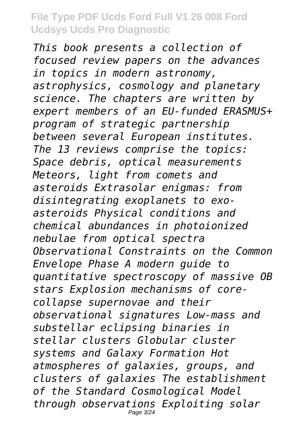*This book presents a collection of focused review papers on the advances in topics in modern astronomy, astrophysics, cosmology and planetary science. The chapters are written by expert members of an EU-funded ERASMUS+ program of strategic partnership between several European institutes. The 13 reviews comprise the topics: Space debris, optical measurements Meteors, light from comets and asteroids Extrasolar enigmas: from disintegrating exoplanets to exoasteroids Physical conditions and chemical abundances in photoionized nebulae from optical spectra Observational Constraints on the Common Envelope Phase A modern guide to quantitative spectroscopy of massive OB stars Explosion mechanisms of corecollapse supernovae and their observational signatures Low-mass and substellar eclipsing binaries in stellar clusters Globular cluster systems and Galaxy Formation Hot atmospheres of galaxies, groups, and clusters of galaxies The establishment of the Standard Cosmological Model through observations Exploiting solar* Page 3/24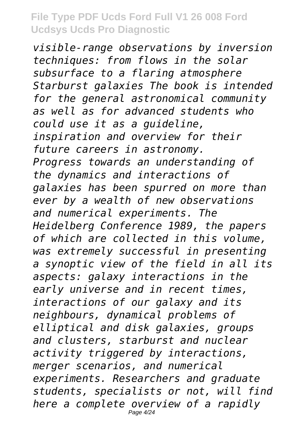*visible-range observations by inversion techniques: from flows in the solar subsurface to a flaring atmosphere Starburst galaxies The book is intended for the general astronomical community as well as for advanced students who could use it as a guideline, inspiration and overview for their future careers in astronomy. Progress towards an understanding of the dynamics and interactions of galaxies has been spurred on more than ever by a wealth of new observations and numerical experiments. The Heidelberg Conference 1989, the papers of which are collected in this volume, was extremely successful in presenting a synoptic view of the field in all its aspects: galaxy interactions in the early universe and in recent times, interactions of our galaxy and its neighbours, dynamical problems of elliptical and disk galaxies, groups and clusters, starburst and nuclear activity triggered by interactions, merger scenarios, and numerical experiments. Researchers and graduate students, specialists or not, will find here a complete overview of a rapidly* Page 4/24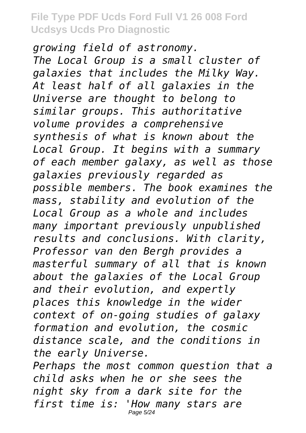*growing field of astronomy. The Local Group is a small cluster of galaxies that includes the Milky Way. At least half of all galaxies in the Universe are thought to belong to similar groups. This authoritative volume provides a comprehensive synthesis of what is known about the Local Group. It begins with a summary of each member galaxy, as well as those galaxies previously regarded as possible members. The book examines the mass, stability and evolution of the Local Group as a whole and includes many important previously unpublished results and conclusions. With clarity, Professor van den Bergh provides a masterful summary of all that is known about the galaxies of the Local Group and their evolution, and expertly places this knowledge in the wider context of on-going studies of galaxy formation and evolution, the cosmic distance scale, and the conditions in the early Universe. Perhaps the most common question that a*

*child asks when he or she sees the night sky from a dark site for the first time is: 'How many stars are* Page 5/24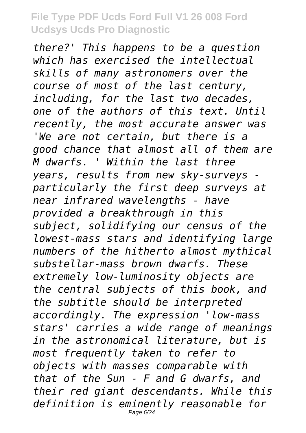*there?' This happens to be a question which has exercised the intellectual skills of many astronomers over the course of most of the last century, including, for the last two decades, one of the authors of this text. Until recently, the most accurate answer was 'We are not certain, but there is a good chance that almost all of them are M dwarfs. ' Within the last three years, results from new sky-surveys particularly the first deep surveys at near infrared wavelengths - have provided a breakthrough in this subject, solidifying our census of the lowest-mass stars and identifying large numbers of the hitherto almost mythical substellar-mass brown dwarfs. These extremely low-luminosity objects are the central subjects of this book, and the subtitle should be interpreted accordingly. The expression 'low-mass stars' carries a wide range of meanings in the astronomical literature, but is most frequently taken to refer to objects with masses comparable with that of the Sun - F and G dwarfs, and their red giant descendants. While this definition is eminently reasonable for* Page 6/24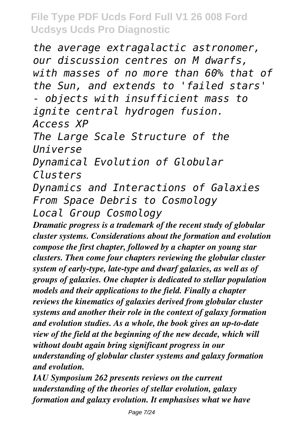*the average extragalactic astronomer, our discussion centres on M dwarfs, with masses of no more than 60% that of the Sun, and extends to 'failed stars' - objects with insufficient mass to ignite central hydrogen fusion. Access XP The Large Scale Structure of the Universe Dynamical Evolution of Globular Clusters Dynamics and Interactions of Galaxies From Space Debris to Cosmology*

*Local Group Cosmology*

*Dramatic progress is a trademark of the recent study of globular cluster systems. Considerations about the formation and evolution compose the first chapter, followed by a chapter on young star clusters. Then come four chapters reviewing the globular cluster system of early-type, late-type and dwarf galaxies, as well as of groups of galaxies. One chapter is dedicated to stellar population models and their applications to the field. Finally a chapter reviews the kinematics of galaxies derived from globular cluster systems and another their role in the context of galaxy formation and evolution studies. As a whole, the book gives an up-to-date view of the field at the beginning of the new decade, which will without doubt again bring significant progress in our understanding of globular cluster systems and galaxy formation and evolution.*

*IAU Symposium 262 presents reviews on the current understanding of the theories of stellar evolution, galaxy formation and galaxy evolution. It emphasises what we have*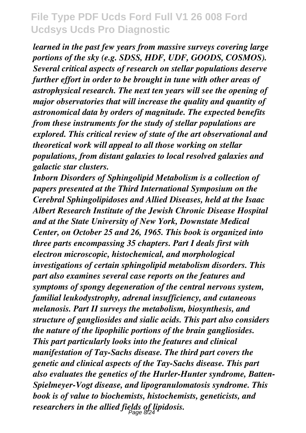*learned in the past few years from massive surveys covering large portions of the sky (e.g. SDSS, HDF, UDF, GOODS, COSMOS). Several critical aspects of research on stellar populations deserve further effort in order to be brought in tune with other areas of astrophysical research. The next ten years will see the opening of major observatories that will increase the quality and quantity of astronomical data by orders of magnitude. The expected benefits from these instruments for the study of stellar populations are explored. This critical review of state of the art observational and theoretical work will appeal to all those working on stellar populations, from distant galaxies to local resolved galaxies and galactic star clusters.*

*Inborn Disorders of Sphingolipid Metabolism is a collection of papers presented at the Third International Symposium on the Cerebral Sphingolipidoses and Allied Diseases, held at the Isaac Albert Research Institute of the Jewish Chronic Disease Hospital and at the State University of New York, Downstate Medical Center, on October 25 and 26, 1965. This book is organized into three parts encompassing 35 chapters. Part I deals first with electron microscopic, histochemical, and morphological investigations of certain sphingolipid metabolism disorders. This part also examines several case reports on the features and symptoms of spongy degeneration of the central nervous system, familial leukodystrophy, adrenal insufficiency, and cutaneous melanosis. Part II surveys the metabolism, biosynthesis, and structure of gangliosides and sialic acids. This part also considers the nature of the lipophilic portions of the brain gangliosides. This part particularly looks into the features and clinical manifestation of Tay-Sachs disease. The third part covers the genetic and clinical aspects of the Tay-Sachs disease. This part also evaluates the genetics of the Hurler-Hunter syndrome, Batten-Spielmeyer-Vogt disease, and lipogranulomatosis syndrome. This book is of value to biochemists, histochemists, geneticists, and researchers in the allied fields of lipidosis.* Page 8/24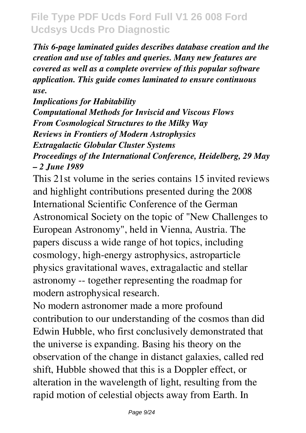*This 6-page laminated guides describes database creation and the creation and use of tables and queries. Many new features are covered as well as a complete overview of this popular software application. This guide comes laminated to ensure continuous use.*

*Implications for Habitability Computational Methods for Inviscid and Viscous Flows From Cosmological Structures to the Milky Way Reviews in Frontiers of Modern Astrophysics Extragalactic Globular Cluster Systems Proceedings of the International Conference, Heidelberg, 29 May – 2 June 1989*

This 21st volume in the series contains 15 invited reviews and highlight contributions presented during the 2008 International Scientific Conference of the German Astronomical Society on the topic of "New Challenges to European Astronomy", held in Vienna, Austria. The papers discuss a wide range of hot topics, including cosmology, high-energy astrophysics, astroparticle physics gravitational waves, extragalactic and stellar astronomy -- together representing the roadmap for modern astrophysical research.

No modern astronomer made a more profound contribution to our understanding of the cosmos than did Edwin Hubble, who first conclusively demonstrated that the universe is expanding. Basing his theory on the observation of the change in distanct galaxies, called red shift, Hubble showed that this is a Doppler effect, or alteration in the wavelength of light, resulting from the rapid motion of celestial objects away from Earth. In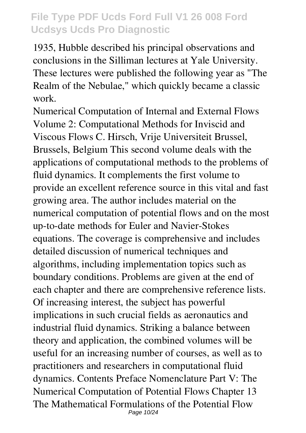1935, Hubble described his principal observations and conclusions in the Silliman lectures at Yale University. These lectures were published the following year as "The Realm of the Nebulae," which quickly became a classic work.

Numerical Computation of Internal and External Flows Volume 2: Computational Methods for Inviscid and Viscous Flows C. Hirsch, Vrije Universiteit Brussel, Brussels, Belgium This second volume deals with the applications of computational methods to the problems of fluid dynamics. It complements the first volume to provide an excellent reference source in this vital and fast growing area. The author includes material on the numerical computation of potential flows and on the most up-to-date methods for Euler and Navier-Stokes equations. The coverage is comprehensive and includes detailed discussion of numerical techniques and algorithms, including implementation topics such as boundary conditions. Problems are given at the end of each chapter and there are comprehensive reference lists. Of increasing interest, the subject has powerful implications in such crucial fields as aeronautics and industrial fluid dynamics. Striking a balance between theory and application, the combined volumes will be useful for an increasing number of courses, as well as to practitioners and researchers in computational fluid dynamics. Contents Preface Nomenclature Part V: The Numerical Computation of Potential Flows Chapter 13 The Mathematical Formulations of the Potential Flow Page 10/24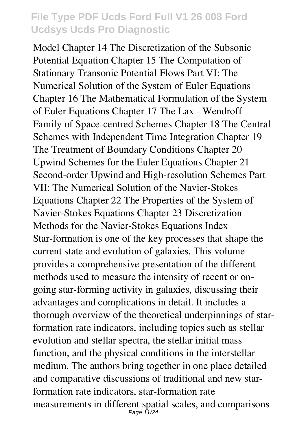Model Chapter 14 The Discretization of the Subsonic Potential Equation Chapter 15 The Computation of Stationary Transonic Potential Flows Part VI: The Numerical Solution of the System of Euler Equations Chapter 16 The Mathematical Formulation of the System of Euler Equations Chapter 17 The Lax - Wendroff Family of Space-centred Schemes Chapter 18 The Central Schemes with Independent Time Integration Chapter 19 The Treatment of Boundary Conditions Chapter 20 Upwind Schemes for the Euler Equations Chapter 21 Second-order Upwind and High-resolution Schemes Part VII: The Numerical Solution of the Navier-Stokes Equations Chapter 22 The Properties of the System of Navier-Stokes Equations Chapter 23 Discretization Methods for the Navier-Stokes Equations Index Star-formation is one of the key processes that shape the current state and evolution of galaxies. This volume provides a comprehensive presentation of the different methods used to measure the intensity of recent or ongoing star-forming activity in galaxies, discussing their advantages and complications in detail. It includes a thorough overview of the theoretical underpinnings of starformation rate indicators, including topics such as stellar evolution and stellar spectra, the stellar initial mass function, and the physical conditions in the interstellar medium. The authors bring together in one place detailed and comparative discussions of traditional and new starformation rate indicators, star-formation rate measurements in different spatial scales, and comparisons Page 11/24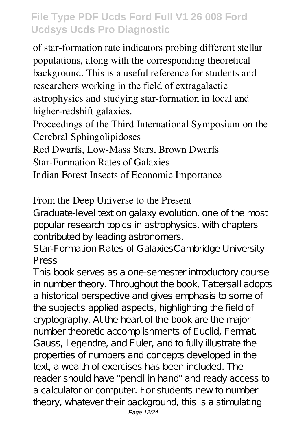of star-formation rate indicators probing different stellar populations, along with the corresponding theoretical background. This is a useful reference for students and researchers working in the field of extragalactic astrophysics and studying star-formation in local and higher-redshift galaxies.

Proceedings of the Third International Symposium on the Cerebral Sphingolipidoses

Red Dwarfs, Low-Mass Stars, Brown Dwarfs

Star-Formation Rates of Galaxies

Indian Forest Insects of Economic Importance

#### From the Deep Universe to the Present

Graduate-level text on galaxy evolution, one of the most popular research topics in astrophysics, with chapters contributed by leading astronomers.

Star-Formation Rates of GalaxiesCambridge University Press

This book serves as a one-semester introductory course in number theory. Throughout the book, Tattersall adopts a historical perspective and gives emphasis to some of the subject's applied aspects, highlighting the field of cryptography. At the heart of the book are the major number theoretic accomplishments of Euclid, Fermat, Gauss, Legendre, and Euler, and to fully illustrate the properties of numbers and concepts developed in the text, a wealth of exercises has been included. The reader should have "pencil in hand" and ready access to a calculator or computer. For students new to number theory, whatever their background, this is a stimulating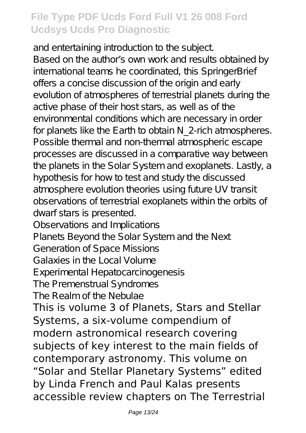and entertaining introduction to the subject. Based on the author's own work and results obtained by international teams he coordinated, this SpringerBrief offers a concise discussion of the origin and early evolution of atmospheres of terrestrial planets during the active phase of their host stars, as well as of the environmental conditions which are necessary in order for planets like the Earth to obtain N 2-rich atmospheres. Possible thermal and non-thermal atmospheric escape processes are discussed in a comparative way between the planets in the Solar System and exoplanets. Lastly, a hypothesis for how to test and study the discussed atmosphere evolution theories using future UV transit observations of terrestrial exoplanets within the orbits of dwarf stars is presented.

Observations and Implications

Planets Beyond the Solar System and the Next

Generation of Space Missions

Galaxies in the Local Volume

Experimental Hepatocarcinogenesis

The Premenstrual Syndromes

The Realm of the Nebulae

This is volume 3 of Planets, Stars and Stellar Systems, a six-volume compendium of modern astronomical research covering subjects of key interest to the main fields of contemporary astronomy. This volume on "Solar and Stellar Planetary Systems" edited by Linda French and Paul Kalas presents accessible review chapters on The Terrestrial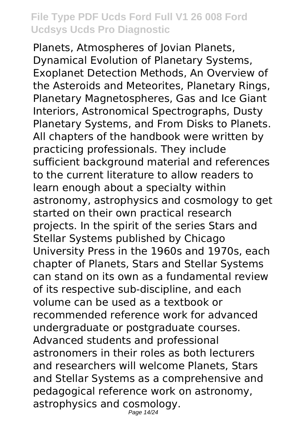Planets, Atmospheres of Jovian Planets, Dynamical Evolution of Planetary Systems, Exoplanet Detection Methods, An Overview of the Asteroids and Meteorites, Planetary Rings, Planetary Magnetospheres, Gas and Ice Giant Interiors, Astronomical Spectrographs, Dusty Planetary Systems, and From Disks to Planets. All chapters of the handbook were written by practicing professionals. They include sufficient background material and references to the current literature to allow readers to learn enough about a specialty within astronomy, astrophysics and cosmology to get started on their own practical research projects. In the spirit of the series Stars and Stellar Systems published by Chicago University Press in the 1960s and 1970s, each chapter of Planets, Stars and Stellar Systems can stand on its own as a fundamental review of its respective sub-discipline, and each volume can be used as a textbook or recommended reference work for advanced undergraduate or postgraduate courses. Advanced students and professional astronomers in their roles as both lecturers and researchers will welcome Planets, Stars and Stellar Systems as a comprehensive and pedagogical reference work on astronomy, astrophysics and cosmology. Page 14/24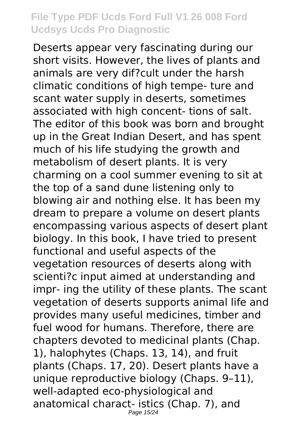Deserts appear very fascinating during our short visits. However, the lives of plants and animals are very dif?cult under the harsh climatic conditions of high tempe- ture and scant water supply in deserts, sometimes associated with high concent- tions of salt. The editor of this book was born and brought up in the Great Indian Desert, and has spent much of his life studying the growth and metabolism of desert plants. It is very charming on a cool summer evening to sit at the top of a sand dune listening only to blowing air and nothing else. It has been my dream to prepare a volume on desert plants encompassing various aspects of desert plant biology. In this book, I have tried to present functional and useful aspects of the vegetation resources of deserts along with scienti?c input aimed at understanding and impr- ing the utility of these plants. The scant vegetation of deserts supports animal life and provides many useful medicines, timber and fuel wood for humans. Therefore, there are chapters devoted to medicinal plants (Chap. 1), halophytes (Chaps. 13, 14), and fruit plants (Chaps. 17, 20). Desert plants have a unique reproductive biology (Chaps. 9–11), well-adapted eco-physiological and anatomical charact- istics (Chap. 7), and Page 15/24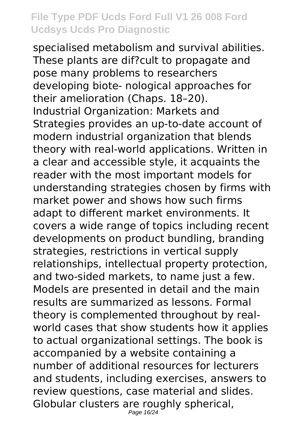specialised metabolism and survival abilities. These plants are dif?cult to propagate and pose many problems to researchers developing biote- nological approaches for their amelioration (Chaps. 18–20). Industrial Organization: Markets and Strategies provides an up-to-date account of modern industrial organization that blends theory with real-world applications. Written in a clear and accessible style, it acquaints the reader with the most important models for understanding strategies chosen by firms with market power and shows how such firms adapt to different market environments. It covers a wide range of topics including recent developments on product bundling, branding strategies, restrictions in vertical supply relationships, intellectual property protection, and two-sided markets, to name just a few. Models are presented in detail and the main results are summarized as lessons. Formal theory is complemented throughout by realworld cases that show students how it applies to actual organizational settings. The book is accompanied by a website containing a number of additional resources for lecturers and students, including exercises, answers to review questions, case material and slides. Globular clusters are roughly spherical, Page 16/24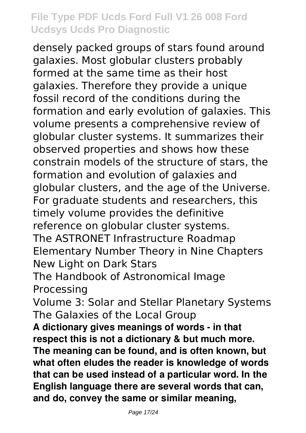densely packed groups of stars found around galaxies. Most globular clusters probably formed at the same time as their host galaxies. Therefore they provide a unique fossil record of the conditions during the formation and early evolution of galaxies. This volume presents a comprehensive review of globular cluster systems. It summarizes their observed properties and shows how these constrain models of the structure of stars, the formation and evolution of galaxies and globular clusters, and the age of the Universe. For graduate students and researchers, this timely volume provides the definitive reference on globular cluster systems. The ASTRONET Infrastructure Roadmap Elementary Number Theory in Nine Chapters New Light on Dark Stars The Handbook of Astronomical Image Processing Volume 3: Solar and Stellar Planetary Systems The Galaxies of the Local Group **A dictionary gives meanings of words - in that respect this is not a dictionary & but much more. The meaning can be found, and is often known, but what often eludes the reader is knowledge of words that can be used instead of a particular word. In the English language there are several words that can, and do, convey the same or similar meaning,**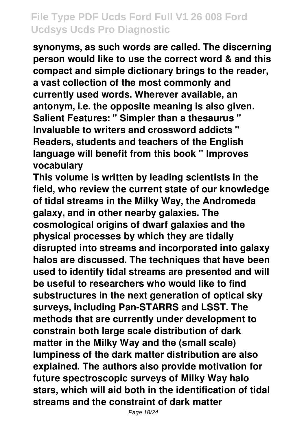**synonyms, as such words are called. The discerning person would like to use the correct word & and this compact and simple dictionary brings to the reader, a vast collection of the most commonly and currently used words. Wherever available, an antonym, i.e. the opposite meaning is also given. Salient Features: " Simpler than a thesaurus " Invaluable to writers and crossword addicts " Readers, students and teachers of the English language will benefit from this book " Improves vocabulary**

**This volume is written by leading scientists in the field, who review the current state of our knowledge of tidal streams in the Milky Way, the Andromeda galaxy, and in other nearby galaxies. The cosmological origins of dwarf galaxies and the physical processes by which they are tidally disrupted into streams and incorporated into galaxy halos are discussed. The techniques that have been used to identify tidal streams are presented and will be useful to researchers who would like to find substructures in the next generation of optical sky surveys, including Pan-STARRS and LSST. The methods that are currently under development to constrain both large scale distribution of dark matter in the Milky Way and the (small scale) lumpiness of the dark matter distribution are also explained. The authors also provide motivation for future spectroscopic surveys of Milky Way halo stars, which will aid both in the identification of tidal streams and the constraint of dark matter**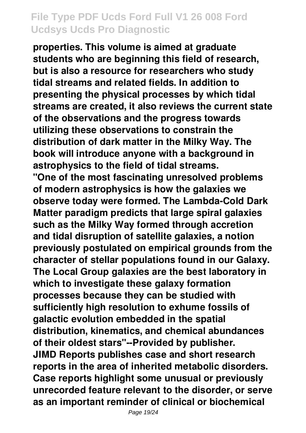**properties. This volume is aimed at graduate students who are beginning this field of research, but is also a resource for researchers who study tidal streams and related fields. In addition to presenting the physical processes by which tidal streams are created, it also reviews the current state of the observations and the progress towards utilizing these observations to constrain the distribution of dark matter in the Milky Way. The book will introduce anyone with a background in astrophysics to the field of tidal streams. "One of the most fascinating unresolved problems of modern astrophysics is how the galaxies we observe today were formed. The Lambda-Cold Dark Matter paradigm predicts that large spiral galaxies such as the Milky Way formed through accretion and tidal disruption of satellite galaxies, a notion previously postulated on empirical grounds from the character of stellar populations found in our Galaxy. The Local Group galaxies are the best laboratory in which to investigate these galaxy formation processes because they can be studied with sufficiently high resolution to exhume fossils of galactic evolution embedded in the spatial distribution, kinematics, and chemical abundances of their oldest stars"--Provided by publisher. JIMD Reports publishes case and short research reports in the area of inherited metabolic disorders. Case reports highlight some unusual or previously unrecorded feature relevant to the disorder, or serve as an important reminder of clinical or biochemical**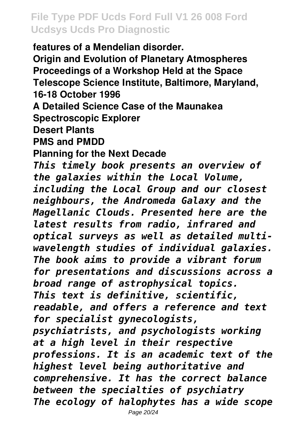**features of a Mendelian disorder. Origin and Evolution of Planetary Atmospheres Proceedings of a Workshop Held at the Space Telescope Science Institute, Baltimore, Maryland, 16-18 October 1996 A Detailed Science Case of the Maunakea Spectroscopic Explorer Desert Plants PMS and PMDD Planning for the Next Decade** *This timely book presents an overview of the galaxies within the Local Volume, including the Local Group and our closest neighbours, the Andromeda Galaxy and the Magellanic Clouds. Presented here are the latest results from radio, infrared and optical surveys as well as detailed multiwavelength studies of individual galaxies. The book aims to provide a vibrant forum for presentations and discussions across a broad range of astrophysical topics. This text is definitive, scientific, readable, and offers a reference and text for specialist gynecologists, psychiatrists, and psychologists working at a high level in their respective professions. It is an academic text of the highest level being authoritative and comprehensive. It has the correct balance between the specialties of psychiatry The ecology of halophytes has a wide scope*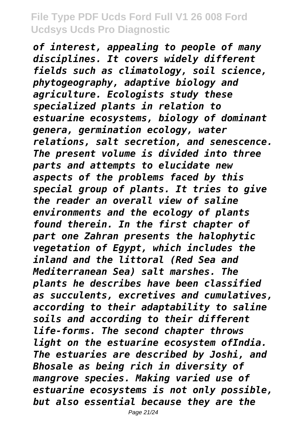*of interest, appealing to people of many disciplines. It covers widely different fields such as climatology, soil science, phytogeography, adaptive biology and agriculture. Ecologists study these specialized plants in relation to estuarine ecosystems, biology of dominant genera, germination ecology, water relations, salt secretion, and senescence. The present volume is divided into three parts and attempts to elucidate new aspects of the problems faced by this special group of plants. It tries to give the reader an overall view of saline environments and the ecology of plants found therein. In the first chapter of part one Zahran presents the halophytic vegetation of Egypt, which includes the inland and the littoral (Red Sea and Mediterranean Sea) salt marshes. The plants he describes have been classified as succulents, excretives and cumulatives, according to their adaptability to saline soils and according to their different life-forms. The second chapter throws light on the estuarine ecosystem ofIndia. The estuaries are described by Joshi, and Bhosale as being rich in diversity of mangrove species. Making varied use of estuarine ecosystems is not only possible, but also essential because they are the*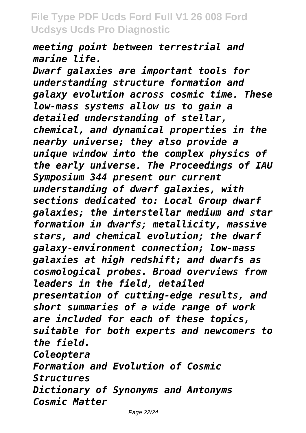*meeting point between terrestrial and marine life.*

*Dwarf galaxies are important tools for understanding structure formation and galaxy evolution across cosmic time. These low-mass systems allow us to gain a detailed understanding of stellar, chemical, and dynamical properties in the nearby universe; they also provide a unique window into the complex physics of the early universe. The Proceedings of IAU Symposium 344 present our current understanding of dwarf galaxies, with sections dedicated to: Local Group dwarf galaxies; the interstellar medium and star formation in dwarfs; metallicity, massive stars, and chemical evolution; the dwarf galaxy-environment connection; low-mass galaxies at high redshift; and dwarfs as cosmological probes. Broad overviews from leaders in the field, detailed presentation of cutting-edge results, and short summaries of a wide range of work are included for each of these topics, suitable for both experts and newcomers to the field. Coleoptera Formation and Evolution of Cosmic Structures Dictionary of Synonyms and Antonyms Cosmic Matter*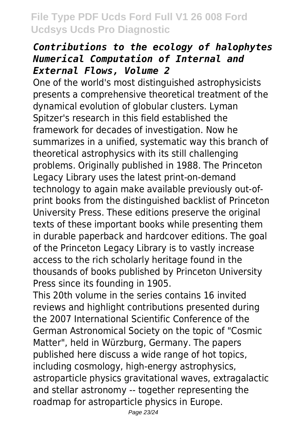#### *Contributions to the ecology of halophytes Numerical Computation of Internal and External Flows, Volume 2*

One of the world's most distinguished astrophysicists presents a comprehensive theoretical treatment of the dynamical evolution of globular clusters. Lyman Spitzer's research in this field established the framework for decades of investigation. Now he summarizes in a unified, systematic way this branch of theoretical astrophysics with its still challenging problems. Originally published in 1988. The Princeton Legacy Library uses the latest print-on-demand technology to again make available previously out-ofprint books from the distinguished backlist of Princeton University Press. These editions preserve the original texts of these important books while presenting them in durable paperback and hardcover editions. The goal of the Princeton Legacy Library is to vastly increase access to the rich scholarly heritage found in the thousands of books published by Princeton University Press since its founding in 1905.

This 20th volume in the series contains 16 invited reviews and highlight contributions presented during the 2007 International Scientific Conference of the German Astronomical Society on the topic of "Cosmic Matter", held in Würzburg, Germany. The papers published here discuss a wide range of hot topics, including cosmology, high-energy astrophysics, astroparticle physics gravitational waves, extragalactic and stellar astronomy -- together representing the roadmap for astroparticle physics in Europe.